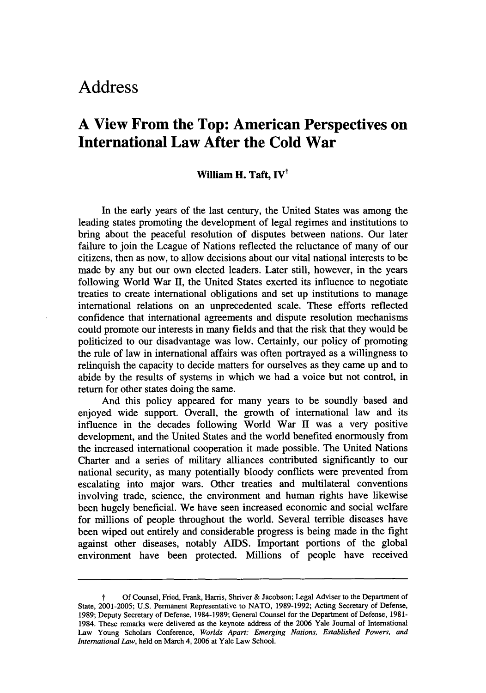## **Address**

## **A View From the Top: American Perspectives on International Law After the Cold War**

## **William H. Taft, IV'**

In the early years of the last century, the United States was among the leading states promoting the development of legal regimes and institutions to bring about the peaceful resolution of disputes between nations. Our later failure to join the League of Nations reflected the reluctance of many of our citizens, then as now, to allow decisions about our vital national interests to be made by any but our own elected leaders. Later still, however, in the years following World War II, the United States exerted its influence to negotiate treaties to create international obligations and set up institutions to manage international relations on an unprecedented scale. These efforts reflected confidence that international agreements and dispute resolution mechanisms could promote our interests in many fields and that the risk that they would be politicized to our disadvantage was low. Certainly, our policy of promoting the rule of law in international affairs was often portrayed as a willingness to relinquish the capacity to decide matters for ourselves as they came up and to abide by the results of systems in which we had a voice but not control, in return for other states doing the same.

And this policy appeared for many years to be soundly based and enjoyed wide support. Overall, the growth of international law and its influence in the decades following World War H was a very positive development, and the United States and the world benefited enormously from the increased international cooperation it made possible. The United Nations Charter and a series of military alliances contributed significantly to our national security, as many potentially bloody conflicts were prevented from escalating into major wars. Other treaties and multilateral conventions involving trade, science, the environment and human rights have likewise been hugely beneficial. We have seen increased economic and social welfare for millions of people throughout the world. Several terrible diseases have been wiped out entirely and considerable progress is being made in the fight against other diseases, notably AIDS. Important portions of the global environment have been protected. Millions of people have received

**f** Of Counsel, Fried, Frank, Harris, Shriver & Jacobson; Legal Adviser to the Department of State, 2001-2005; U.S. Permanent Representative to NATO, 1989-1992; Acting Secretary of Defense, 1989; Deputy Secretary of Defense, 1984-1989; General Counsel for the Department of Defense, 1981- 1984. These remarks were delivered as the keynote address of the 2006 Yale Journal of International Law Young Scholars Conference, *Worlds Apart: Emerging Nations, Established Powers, and International Law,* held on March 4, 2006 at Yale Law School.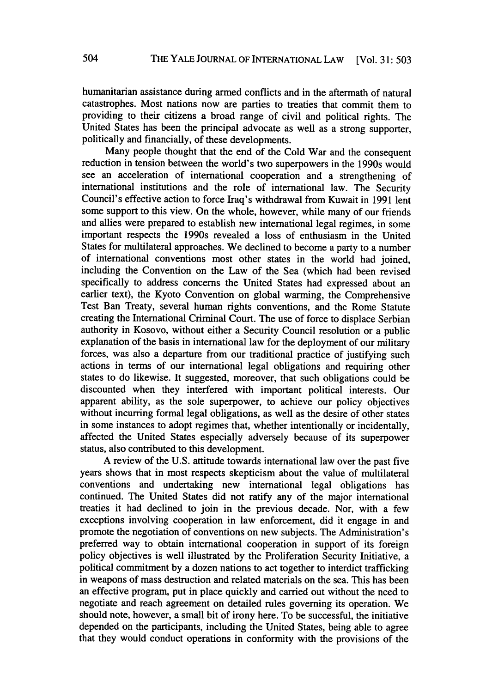humanitarian assistance during armed conflicts and in the aftermath of natural catastrophes. Most nations now are parties to treaties that commit them to providing to their citizens a broad range of civil and political rights. The United States has been the principal advocate as well as a strong supporter, politically and financially, of these developments.

Many people thought that the end of the Cold War and the consequent reduction in tension between the world's two superpowers in the 1990s would see an acceleration of international cooperation and a strengthening of international institutions and the role of international law. The Security Council's effective action to force Iraq's withdrawal from Kuwait in 1991 lent some support to this view. On the whole, however, while many of our friends and allies were prepared to establish new international legal regimes, in some important respects the 1990s revealed a loss of enthusiasm in the United States for multilateral approaches. We declined to become a party to a number of international conventions most other states in the world had joined, including the Convention on the Law of the Sea (which had been revised specifically to address concerns the United States had expressed about an earlier text), the Kyoto Convention on global warming, the Comprehensive Test Ban Treaty, several human rights conventions, and the Rome Statute creating the International Criminal Court. The use of force to displace Serbian authority in Kosovo, without either a Security Council resolution or a public explanation of the basis in international law for the deployment of our military forces, was also a departure from our traditional practice of justifying such actions in terms of our international legal obligations and requiring other states to do likewise. It suggested, moreover, that such obligations could be discounted when they interfered with important political interests. Our apparent ability, as the sole superpower, to achieve our policy objectives without incurring formal legal obligations, as well as the desire of other states in some instances to adopt regimes that, whether intentionally or incidentally, affected the United States especially adversely because of its superpower status, also contributed to this development.

A review of the U.S. attitude towards international law over the past five years shows that in most respects skepticism about the value of multilateral conventions and undertaking new international legal obligations has continued. The United States did not ratify any of the major international treaties it had declined to join in the previous decade. Nor, with a few exceptions involving cooperation in law enforcement, did it engage in and promote the negotiation of conventions on new subjects. The Administration's preferred way to obtain international cooperation in support of its foreign policy objectives is well illustrated **by** the Proliferation Security Initiative, a political commitment **by** a dozen nations to act together to interdict trafficking in weapons of mass destruction and related materials on the sea. This has been an effective program, put in place quickly and carried out without the need to negotiate and reach agreement on detailed rules governing its operation. We should note, however, a small bit of irony here. To be successful, the initiative depended on the participants, including the United States, being able to agree that they would conduct operations in conformity with the provisions of the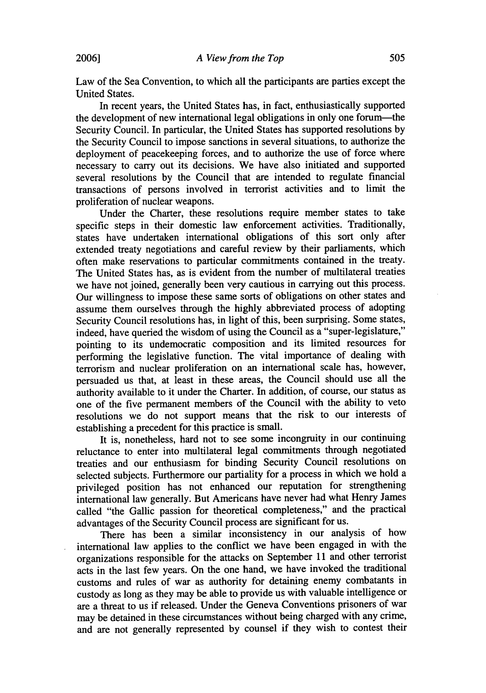Law of the Sea Convention, to which all the participants are parties except the United States.

In recent years, the United States has, in fact, enthusiastically supported the development of new international legal obligations in only one forum-the Security Council. In particular, the United States has supported resolutions by the Security Council to impose sanctions in several situations, to authorize the deployment of peacekeeping forces, and to authorize the use of force where necessary to carry out its decisions. We have also initiated and supported several resolutions by the Council that are intended to regulate financial transactions of persons involved in terrorist activities and to limit the proliferation of nuclear weapons.

Under the Charter, these resolutions require member states to take specific steps in their domestic law enforcement activities. Traditionally, states have undertaken international obligations of this sort only after extended treaty negotiations and careful review by their parliaments, which often make reservations to particular commitments contained in the treaty. The United States has, as is evident from the number of multilateral treaties we have not joined, generally been very cautious in carrying out this process. Our willingness to impose these same sorts of obligations on other states and assume them ourselves through the highly abbreviated process of adopting Security Council resolutions has, in light of this, been surprising. Some states, indeed, have queried the wisdom of using the Council as a "super-legislature," pointing to its undemocratic composition and its limited resources for performing the legislative function. The vital importance of dealing with terrorism and nuclear proliferation on an international scale has, however, persuaded us that, at least in these areas, the Council should use all the authority available to it under the Charter. In addition, of course, our status as one of the five permanent members of the Council with the ability to veto resolutions we do not support means that the risk to our interests of establishing a precedent for this practice is small.

It is, nonetheless, hard not to see some incongruity in our continuing reluctance to enter into multilateral legal commitments through negotiated treaties and our enthusiasm for binding Security Council resolutions on selected subjects. Furthermore our partiality for a process in which we hold a privileged position has not enhanced our reputation for strengthening international law generally. But Americans have never had what Henry James called "the Gallic passion for theoretical completeness," and the practical advantages of the Security Council process are significant for us.

There has been a similar inconsistency in our analysis of how international law applies to the conflict we have been engaged in with the organizations responsible for the attacks on September 11 and other terrorist acts in the last few years. On the one hand, we have invoked the traditional customs and rules of war as authority for detaining enemy combatants in custody as long as they may be able to provide us with valuable intelligence or are a threat to us if released. Under the Geneva Conventions prisoners of war may be detained in these circumstances without being charged with any crime, and are not generally represented by counsel if they wish to contest their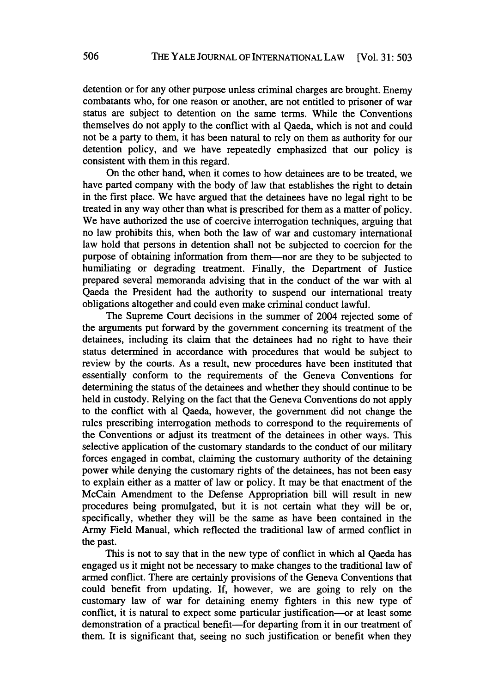detention or for any other purpose unless criminal charges are brought. Enemy combatants who, for one reason or another, are not entitled to prisoner of war status are subject to detention on the same terms. While the Conventions themselves do not apply to the conflict with al Qaeda, which is not and could not be a party to them, it has been natural to rely on them as authority for our detention policy, and we have repeatedly emphasized that our policy is consistent with them in this regard.

On the other hand, when it comes to how detainees are to be treated, we have parted company with the body of law that establishes the right to detain in the first place. We have argued that the detainees have no legal right to be treated in any way other than what is prescribed for them as a matter of policy. We have authorized the use of coercive interrogation techniques, arguing that no law prohibits this, when both the law of war and customary international law hold that persons in detention shall not be subjected to coercion for the purpose of obtaining information from them-nor are they to be subjected to humiliating or degrading treatment. Finally, the Department of Justice prepared several memoranda advising that in the conduct of the war with al Qaeda the President had the authority to suspend our international treaty obligations altogether and could even make criminal conduct lawful.

The Supreme Court decisions in the summer of 2004 rejected some of the arguments put forward by the government concerning its treatment of the detainees, including its claim that the detainees had no right to have their status determined in accordance with procedures that would be subject to review by the courts. As a result, new procedures have been instituted that essentially conform to the requirements of the Geneva Conventions for determining the status of the detainees and whether they should continue to be held in custody. Relying on the fact that the Geneva Conventions do not apply to the conflict with al Qaeda, however, the government did not change the rules prescribing interrogation methods to correspond to the requirements of the Conventions or adjust its treatment of the detainees in other ways. This selective application of the customary standards to the conduct of our military forces engaged in combat, claiming the customary authority of the detaining power while denying the customary rights of the detainees, has not been easy to explain either as a matter of law or policy. It may be that enactment of the McCain Amendment to the Defense Appropriation bill will result in new procedures being promulgated, but it is not certain what they will be or, specifically, whether they will be the same as have been contained in the Army Field Manual, which reflected the traditional law of armed conflict in the past.

This is not to say that in the new type of conflict in which al Qaeda has engaged us it might not be necessary to make changes to the traditional law of armed conflict. There are certainly provisions of the Geneva Conventions that could benefit from updating. If, however, we are going to rely on the customary law of war for detaining enemy fighters in this new type of conflict, it is natural to expect some particular justification-or at least some demonstration of a practical benefit-for departing from it in our treatment of them. It is significant that, seeing no such justification or benefit when they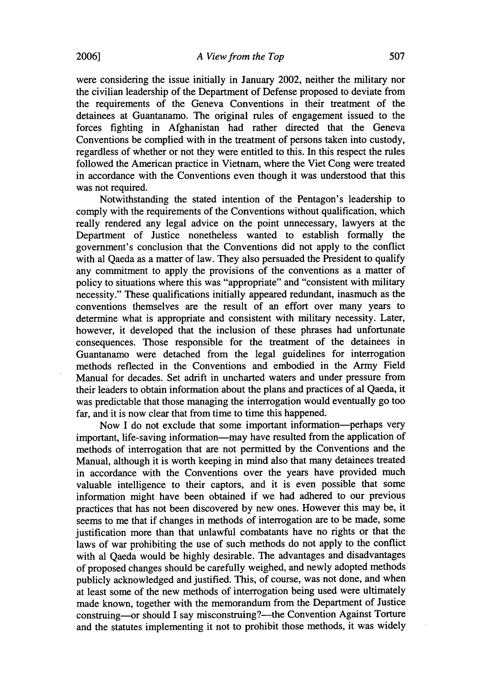were considering the issue initially in January 2002, neither the military nor the civilian leadership of the Department of Defense proposed to deviate from the requirements of the Geneva Conventions in their treatment of the detainees at Guantanamo. The original rules of engagement issued to the forces fighting in Afghanistan had rather directed that the Geneva Conventions be complied with in the treatment of persons taken into custody, regardless of whether or not they were entitled to this. In this respect the rules followed the American practice in Vietnam, where the Viet Cong were treated in accordance with the Conventions even though it was understood that this

Notwithstanding the stated intention of the Pentagon's leadership to comply with the requirements of the Conventions without qualification, which really rendered any legal advice on the point unnecessary, lawyers at the Department of Justice nonetheless wanted to establish formally the government's conclusion that the Conventions did not apply to the conflict with al Qaeda as a matter of law. They also persuaded the President to qualify any commitment to apply the provisions of the conventions as a matter of policy to situations where this was "appropriate" and "consistent with military necessity." These qualifications initially appeared redundant, inasmuch as the conventions themselves are the result of an effort over many years to determine what is appropriate and consistent with military necessity. Later, however, it developed that the inclusion of these phrases had unfortunate consequences. Those responsible for the treatment of the detainees in Guantanamo were detached from the legal guidelines for interrogation methods reflected in the Conventions and embodied in the Army Field Manual for decades. Set adrift in uncharted waters and under pressure from their leaders to obtain information about the plans and practices of al Qaeda, it was predictable that those managing the interrogation would eventually go too far, and it is now clear that from time to time this happened.

Now I do not exclude that some important information-perhaps very important, life-saving information—may have resulted from the application of methods of interrogation that are not permitted by the Conventions and the Manual, although it is worth keeping in mind also that many detainees treated in accordance with the Conventions over the years have provided much valuable intelligence to their captors, and it is even possible that some information might have been obtained if we had adhered to our previous practices that has not been discovered by new ones. However this may be, it seems to me that if changes in methods of interrogation are to be made, some justification more than that unlawful combatants have no rights or that the laws of war prohibiting the use of such methods do not apply to the conflict with al Qaeda would be highly desirable. The advantages and disadvantages of proposed changes should be carefully weighed, and newly adopted methods publicly acknowledged and justified. This, of course, was not done, and when at least some of the new methods of interrogation being used were ultimately made known, together with the memorandum from the Department of Justice construing-or should I say misconstruing?-- the Convention Against Torture and the statutes implementing it not to prohibit those methods, it was widely

was not required.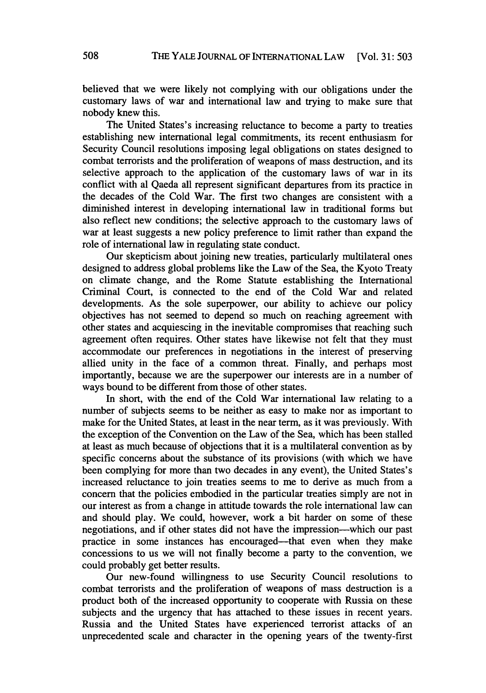believed that we were likely not complying with our obligations under the customary laws of war and international law and trying to make sure that nobody knew this.

The United States's increasing reluctance to become a party to treaties establishing new international legal commitments, its recent enthusiasm for Security Council resolutions imposing legal obligations on states designed to combat terrorists and the proliferation of weapons of mass destruction, and its selective approach to the application of the customary laws of war in its conflict with al Qaeda all represent significant departures from its practice in the decades of the Cold War. The first two changes are consistent with a diminished interest in developing international law in traditional forms but also reflect new conditions; the selective approach to the customary laws of war at least suggests a new policy preference to limit rather than expand the role of international law in regulating state conduct.

Our skepticism about joining new treaties, particularly multilateral ones designed to address global problems like the Law of the Sea, the Kyoto Treaty on climate change, and the Rome Statute establishing the International Criminal Court, is connected to the end of the Cold War and related developments. As the sole superpower, our ability to achieve our policy objectives has not seemed to depend so much on reaching agreement with other states and acquiescing in the inevitable compromises that reaching such agreement often requires. Other states have likewise not felt that they must accommodate our preferences in negotiations in the interest of preserving allied unity in the face of a common threat. Finally, and perhaps most importantly, because we are the superpower our interests are in a number of ways bound to be different from those of other states.

In short, with the end of the Cold War international law relating to a number of subjects seems to be neither as easy to make nor as important to make for the United States, at least in the near term, as it was previously. With the exception of the Convention on the Law of the Sea, which has been stalled at least as much because of objections that it is a multilateral convention as by specific concerns about the substance of its provisions (with which we have been complying for more than two decades in any event), the United States's increased reluctance to join treaties seems to me to derive as much from a concern that the policies embodied in the particular treaties simply are not in our interest as from a change in attitude towards the role international law can and should play. We could, however, work a bit harder on some of these negotiations, and if other states did not have the impression-which our past practice in some instances has encouraged-that even when they make concessions to us we will not finally become a party to the convention, we could probably get better results.

Our new-found willingness to use Security Council resolutions to combat terrorists and the proliferation of weapons of mass destruction is a product both of the increased opportunity to cooperate with Russia on these subjects and the urgency that has attached to these issues in recent years. Russia and the United States have experienced terrorist attacks of an unprecedented scale and character in the opening years of the twenty-first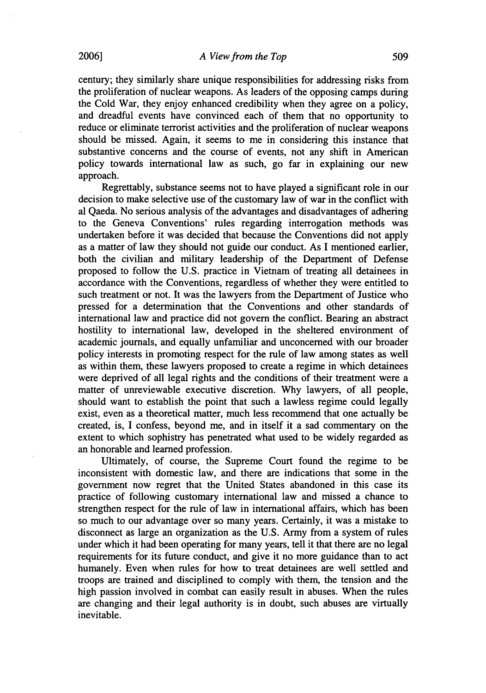century; they similarly share unique responsibilities for addressing risks from the proliferation of nuclear weapons. As leaders of the opposing camps during the Cold War, they enjoy enhanced credibility when they agree on a policy, and dreadful events have convinced each of them that no opportunity to reduce or eliminate terrorist activities and the proliferation of nuclear weapons should be missed. Again, it seems to me in considering this instance that substantive concerns and the course of events, not any shift in American policy towards international law as such, go far in explaining our new approach.

Regrettably, substance seems not to have played a significant role in our decision to make selective use of the customary law of war in the conflict with al Qaeda. No serious analysis of the advantages and disadvantages of adhering to the Geneva Conventions' rules regarding interrogation methods was undertaken before it was decided that because the Conventions did not apply as a matter of law they should not guide our conduct. As I mentioned earlier, both the civilian and military leadership of the Department of Defense proposed to follow the U.S. practice in Vietnam of treating all detainees in accordance with the Conventions, regardless of whether they were entitled to such treatment or not. It was the lawyers from the Department of Justice who pressed for a determination that the Conventions and other standards of international law and practice did not govern the conflict. Bearing an abstract hostility to international law, developed in the sheltered environment of academic journals, and equally unfamiliar and unconcerned with our broader policy interests in promoting respect for the rule of law among states as well as within them, these lawyers proposed to create a regime in which detainees were deprived of all legal rights and the conditions of their treatment were a matter of unreviewable executive discretion. Why lawyers, of all people, should want to establish the point that such a lawless regime could legally exist, even as a theoretical matter, much less recommend that one actually be created, is, I confess, beyond me, and in itself it a sad commentary on the extent to which sophistry has penetrated what used to be widely regarded as an honorable and learned profession.

Ultimately, of course, the Supreme Court found the regime to be inconsistent with domestic law, and there are indications that some in the government now regret that the United States abandoned in this case its practice of following customary international law and missed a chance to strengthen respect for the rule of law in international affairs, which has been so much to our advantage over so many years. Certainly, it was a mistake to disconnect as large an organization as the U.S. Army from a system of rules under which it had been operating for many years, tell it that there are no legal requirements for its future conduct, and give it no more guidance than to act humanely. Even when rules for how to treat detainees are well settled and troops are trained and disciplined to comply with them, the tension and the high passion involved in combat can easily result in abuses. When the rules are changing and their legal authority is in doubt, such abuses are virtually inevitable.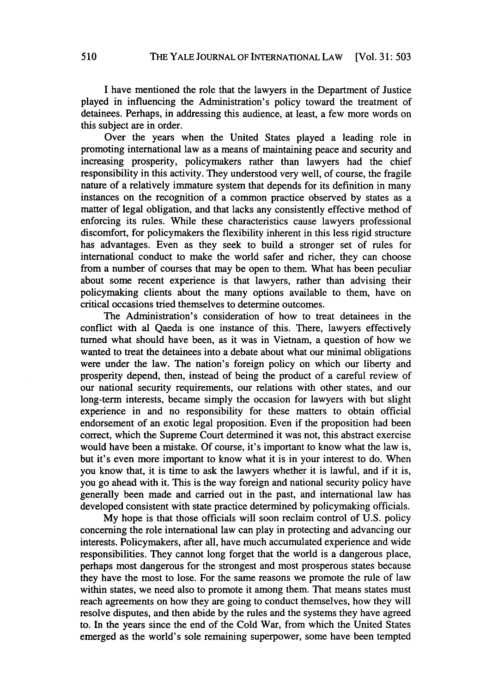I have mentioned the role that the lawyers in the Department of Justice played in influencing the Administration's policy toward the treatment of detainees. Perhaps, in addressing this audience, at least, a few more words on this subject are in order.

Over the years when the United States played a leading role in promoting international law as a means of maintaining peace and security and increasing prosperity, policymakers rather than lawyers had the chief responsibility in this activity. They understood very well, of course, the fragile nature of a relatively immature system that depends for its definition in many instances on the recognition of a common practice observed by states as a matter of legal obligation, and that lacks any consistently effective method of enforcing its rules. While these characteristics cause lawyers professional discomfort, for policymakers the flexibility inherent in this less rigid structure has advantages. Even as they seek to build a stronger set of rules for international conduct to make the world safer and richer, they can choose from a number of courses that may be open to them. What has been peculiar about some recent experience is that lawyers, rather than advising their policymaking clients about the many options available to them, have on critical occasions tried themselves to determine outcomes.

The Administration's consideration of how to treat detainees in the conflict with al Qaeda is one instance of this. There, lawyers effectively turned what should have been, as it was in Vietnam, a question of how we wanted to treat the detainees into a debate about what our minimal obligations were under the law. The nation's foreign policy on which our liberty and prosperity depend, then, instead of being the product of a careful review of our national security requirements, our relations with other states, and our long-term interests, became simply the occasion for lawyers with but slight experience in and no responsibility for these matters to obtain official endorsement of an exotic legal proposition. Even if the proposition had been correct, which the Supreme Court determined it was not, this abstract exercise would have been a mistake. Of course, it's important to know what the law is, but it's even more important to know what it is in your interest to do. When you know that, it is time to ask the lawyers whether it is lawful, and if it is, you go ahead with it. This is the way foreign and national security policy have generally been made and carried out in the past, and international law has developed consistent with state practice determined by policymaking officials.

My hope is that those officials will soon reclaim control of U.S. policy concerning the role international law can play in protecting and advancing our interests. Policymakers, after all, have much accumulated experience and wide responsibilities. They cannot long forget that the world is a dangerous place, perhaps most dangerous for the strongest and most prosperous states because they have the most to lose. For the same reasons we promote the rule of law within states, we need also to promote it among them. That means states must reach agreements on how they are going to conduct themselves, how they will resolve disputes, and then abide by the rules and the systems they have agreed to. In the years since the end of the Cold War, from which the United States emerged as the world's sole remaining superpower, some have been tempted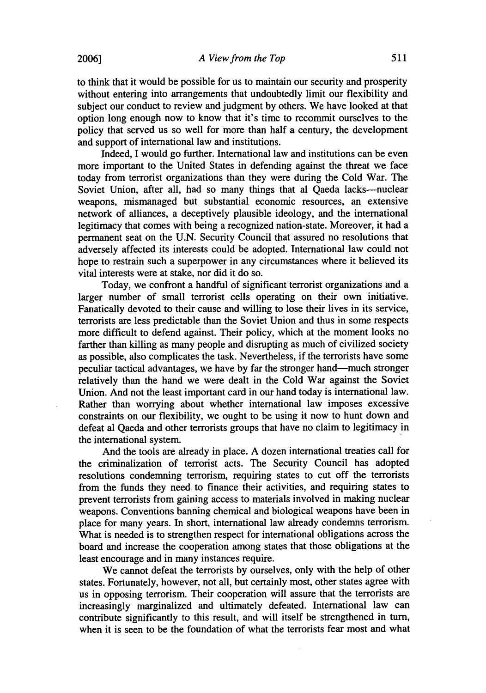to think that it would be possible for us to maintain our security and prosperity without entering into arrangements that undoubtedly limit our flexibility and subject our conduct to review and judgment by others. We have looked at that option long enough now to know that it's time to recommit ourselves to the policy that served us so well for more than half a century, the development and support of international law and institutions.

Indeed, I would go further. International law and institutions can be even more important to the United States in defending against the threat we face today from terrorist organizations than they were during the Cold War. The Soviet Union, after all, had so many things that al Qaeda lacks---nuclear weapons, mismanaged but substantial economic resources, an extensive network of alliances, a deceptively plausible ideology, and the international legitimacy that comes with being a recognized nation-state. Moreover, it had a permanent seat on the U.N. Security Council that assured no resolutions that adversely affected its interests could be adopted. International law could not hope to restrain such a superpower in any circumstances where it believed its vital interests were at stake, nor did it do so.

Today, we confront a handful of significant terrorist organizations and a larger number of small terrorist cells operating on their own initiative. Fanatically devoted to their cause and willing to lose their lives in its service, terrorists are less predictable than the Soviet Union and thus in some respects more difficult to defend against. Their policy, which at the moment looks no farther than killing as many people and disrupting as much of civilized society as possible, also complicates the task. Nevertheless, if the terrorists have some peculiar tactical advantages, we have by far the stronger hand-much stronger relatively than the hand we were dealt in the Cold War against the Soviet Union. And not the least important card in our hand today is international law. Rather than worrying about whether international law imposes excessive constraints on our flexibility, we ought to be using it now to hunt down and defeat al Qaeda and other terrorists groups that have no claim to legitimacy in the international system.

And the tools are already in place. A dozen international treaties call for the criminalization of terrorist acts. The Security Council has adopted resolutions condemning terrorism, requiring states to cut off the terrorists from the funds they need to finance their activities, and requiring states to prevent terrorists from gaining access to materials involved in making nuclear weapons. Conventions banning chemical and biological weapons have been in place for many years. In short, international law already condemns terrorism. What is needed is to strengthen respect for international obligations across the board and increase the cooperation among states that those obligations at the least encourage and in many instances require.

We cannot defeat the terrorists by ourselves, only with the help of other states. Fortunately, however, not all, but certainly most, other states agree with us in opposing terrorism. Their cooperation will assure that the terrorists are increasingly marginalized and ultimately defeated. International law can contribute significantly to this result, and will itself be strengthened in turn, when it is seen to be the foundation of what the terrorists fear most and what